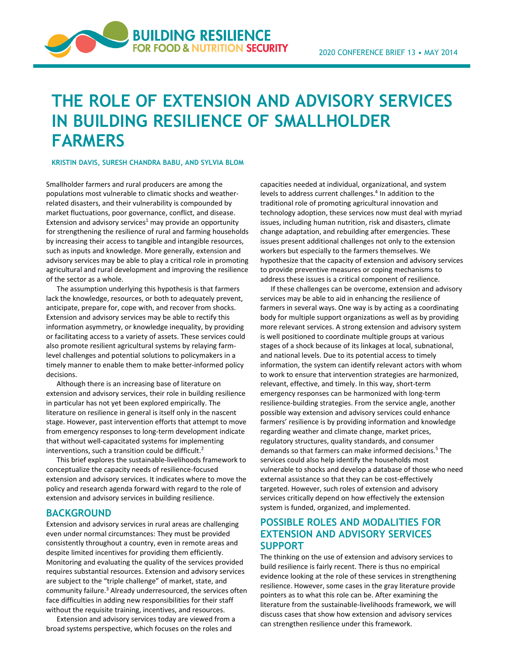# **THE ROLE OF EXTENSION AND ADVISORY SERVICES IN BUILDING RESILIENCE OF SMALLHOLDER FARMERS**

**BUILDING RESILIENCE FOR FOOD & NUTRITION SECURITY** 

#### **KRISTIN DAVIS, SURESH CHANDRA BABU, AND SYLVIA BLOM**

Smallholder farmers and rural producers are among the populations most vulnerable to climatic shocks and weather‐ related disasters, and their vulnerability is compounded by market fluctuations, poor governance, conflict, and disease. Extension and advisory services $1$  may provide an opportunity for strengthening the resilience of rural and farming households by increasing their access to tangible and intangible resources, such as inputs and knowledge. More generally, extension and advisory services may be able to play a critical role in promoting agricultural and rural development and improving the resilience of the sector as a whole.

The assumption underlying this hypothesis is that farmers lack the knowledge, resources, or both to adequately prevent, anticipate, prepare for, cope with, and recover from shocks. Extension and advisory services may be able to rectify this information asymmetry, or knowledge inequality, by providing or facilitating access to a variety of assets. These services could also promote resilient agricultural systems by relaying farm‐ level challenges and potential solutions to policymakers in a timely manner to enable them to make better‐informed policy decisions.

Although there is an increasing base of literature on extension and advisory services, their role in building resilience in particular has not yet been explored empirically. The literature on resilience in general is itself only in the nascent stage. However, past intervention efforts that attempt to move from emergency responses to long‐term development indicate that without well‐capacitated systems for implementing interventions, such a transition could be difficult.<sup>2</sup>

This brief explores the sustainable‐livelihoods framework to conceptualize the capacity needs of resilience‐focused extension and advisory services. It indicates where to move the policy and research agenda forward with regard to the role of extension and advisory services in building resilience.

#### **BACKGROUND**

Extension and advisory services in rural areas are challenging even under normal circumstances: They must be provided consistently throughout a country, even in remote areas and despite limited incentives for providing them efficiently. Monitoring and evaluating the quality of the services provided requires substantial resources. Extension and advisory services are subject to the "triple challenge" of market, state, and community failure.3 Already underresourced, the services often face difficulties in adding new responsibilities for their staff without the requisite training, incentives, and resources.

Extension and advisory services today are viewed from a broad systems perspective, which focuses on the roles and

capacities needed at individual, organizational, and system levels to address current challenges.<sup>4</sup> In addition to the traditional role of promoting agricultural innovation and technology adoption, these services now must deal with myriad issues, including human nutrition, risk and disasters, climate change adaptation, and rebuilding after emergencies. These issues present additional challenges not only to the extension workers but especially to the farmers themselves. We hypothesize that the capacity of extension and advisory services to provide preventive measures or coping mechanisms to address these issues is a critical component of resilience.

If these challenges can be overcome, extension and advisory services may be able to aid in enhancing the resilience of farmers in several ways. One way is by acting as a coordinating body for multiple support organizations as well as by providing more relevant services. A strong extension and advisory system is well positioned to coordinate multiple groups at various stages of a shock because of its linkages at local, subnational, and national levels. Due to its potential access to timely information, the system can identify relevant actors with whom to work to ensure that intervention strategies are harmonized, relevant, effective, and timely. In this way, short‐term emergency responses can be harmonized with long‐term resilience‐building strategies. From the service angle, another possible way extension and advisory services could enhance farmers' resilience is by providing information and knowledge regarding weather and climate change, market prices, regulatory structures, quality standards, and consumer demands so that farmers can make informed decisions.<sup>5</sup> The services could also help identify the households most vulnerable to shocks and develop a database of those who need external assistance so that they can be cost-effectively targeted. However, such roles of extension and advisory services critically depend on how effectively the extension system is funded, organized, and implemented.

## **POSSIBLE ROLES AND MODALITIES FOR EXTENSION AND ADVISORY SERVICES SUPPORT**

The thinking on the use of extension and advisory services to build resilience is fairly recent. There is thus no empirical evidence looking at the role of these services in strengthening resilience. However, some cases in the gray literature provide pointers as to what this role can be. After examining the literature from the sustainable‐livelihoods framework, we will discuss cases that show how extension and advisory services can strengthen resilience under this framework.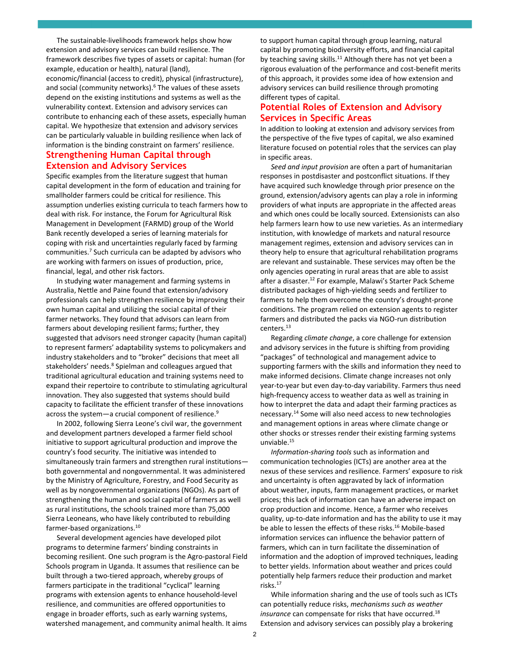The sustainable‐livelihoods framework helps show how extension and advisory services can build resilience. The framework describes five types of assets or capital: human (for example, education or health), natural (land), economic/financial (access to credit), physical (infrastructure), and social (community networks).<sup>6</sup> The values of these assets depend on the existing institutions and systems as well as the vulnerability context. Extension and advisory services can contribute to enhancing each of these assets, especially human capital. We hypothesize that extension and advisory services can be particularly valuable in building resilience when lack of information is the binding constraint on farmers' resilience.

#### **Strengthening Human Capital through Extension and Advisory Services**

Specific examples from the literature suggest that human capital development in the form of education and training for smallholder farmers could be critical for resilience. This assumption underlies existing curricula to teach farmers how to deal with risk. For instance, the Forum for Agricultural Risk Management in Development (FARMD) group of the World Bank recently developed a series of learning materials for coping with risk and uncertainties regularly faced by farming communities.7 Such curricula can be adapted by advisors who are working with farmers on issues of production, price, financial, legal, and other risk factors.

In studying water management and farming systems in Australia, Nettle and Paine found that extension/advisory professionals can help strengthen resilience by improving their own human capital and utilizing the social capital of their farmer networks. They found that advisors can learn from farmers about developing resilient farms; further, they suggested that advisors need stronger capacity (human capital) to represent farmers' adaptability systems to policymakers and industry stakeholders and to "broker" decisions that meet all stakeholders' needs.8 Spielman and colleagues argued that traditional agricultural education and training systems need to expand their repertoire to contribute to stimulating agricultural innovation. They also suggested that systems should build capacity to facilitate the efficient transfer of these innovations across the system—a crucial component of resilience.<sup>9</sup>

In 2002, following Sierra Leone's civil war, the government and development partners developed a farmer field school initiative to support agricultural production and improve the country's food security. The initiative was intended to simultaneously train farmers and strengthen rural institutions both governmental and nongovernmental. It was administered by the Ministry of Agriculture, Forestry, and Food Security as well as by nongovernmental organizations (NGOs). As part of strengthening the human and social capital of farmers as well as rural institutions, the schools trained more than 75,000 Sierra Leoneans, who have likely contributed to rebuilding farmer-based organizations.<sup>10</sup>

Several development agencies have developed pilot programs to determine farmers' binding constraints in becoming resilient. One such program is the Agro‐pastoral Field Schools program in Uganda. It assumes that resilience can be built through a two‐tiered approach, whereby groups of farmers participate in the traditional "cyclical" learning programs with extension agents to enhance household‐level resilience, and communities are offered opportunities to engage in broader efforts, such as early warning systems, watershed management, and community animal health. It aims

to support human capital through group learning, natural capital by promoting biodiversity efforts, and financial capital by teaching saving skills.<sup>11</sup> Although there has not yet been a rigorous evaluation of the performance and cost‐benefit merits of this approach, it provides some idea of how extension and advisory services can build resilience through promoting different types of capital.

### **Potential Roles of Extension and Advisory Services in Specific Areas**

In addition to looking at extension and advisory services from the perspective of the five types of capital, we also examined literature focused on potential roles that the services can play in specific areas.

*Seed and input provision* are often a part of humanitarian responses in postdisaster and postconflict situations. If they have acquired such knowledge through prior presence on the ground, extension/advisory agents can play a role in informing providers of what inputs are appropriate in the affected areas and which ones could be locally sourced. Extensionists can also help farmers learn how to use new varieties. As an intermediary institution, with knowledge of markets and natural resource management regimes, extension and advisory services can in theory help to ensure that agricultural rehabilitation programs are relevant and sustainable. These services may often be the only agencies operating in rural areas that are able to assist after a disaster.<sup>12</sup> For example, Malawi's Starter Pack Scheme distributed packages of high‐yielding seeds and fertilizer to farmers to help them overcome the country's drought‐prone conditions. The program relied on extension agents to register farmers and distributed the packs via NGO‐run distribution centers.13

Regarding *climate change*, a core challenge for extension and advisory services in the future is shifting from providing "packages" of technological and management advice to supporting farmers with the skills and information they need to make informed decisions. Climate change increases not only year-to-year but even day-to-day variability. Farmers thus need high‐frequency access to weather data as well as training in how to interpret the data and adapt their farming practices as necessary.14 Some will also need access to new technologies and management options in areas where climate change or other shocks or stresses render their existing farming systems unviable.15

*Information‐sharing tools* such as information and communication technologies (ICTs) are another area at the nexus of these services and resilience. Farmers' exposure to risk and uncertainty is often aggravated by lack of information about weather, inputs, farm management practices, or market prices; this lack of information can have an adverse impact on crop production and income. Hence, a farmer who receives quality, up‐to‐date information and has the ability to use it may be able to lessen the effects of these risks.<sup>16</sup> Mobile-based information services can influence the behavior pattern of farmers, which can in turn facilitate the dissemination of information and the adoption of improved techniques, leading to better yields. Information about weather and prices could potentially help farmers reduce their production and market risks.17

While information sharing and the use of tools such as ICTs can potentially reduce risks, *mechanisms such as weather insurance* can compensate for risks that have occurred.18 Extension and advisory services can possibly play a brokering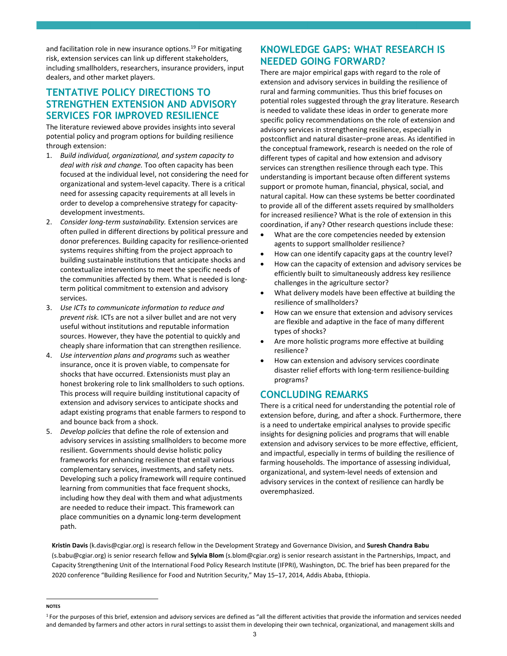and facilitation role in new insurance options.<sup>19</sup> For mitigating risk, extension services can link up different stakeholders, including smallholders, researchers, insurance providers, input dealers, and other market players.

## **TENTATIVE POLICY DIRECTIONS TO STRENGTHEN EXTENSION AND ADVISORY SERVICES FOR IMPROVED RESILIENCE**

The literature reviewed above provides insights into several potential policy and program options for building resilience through extension:

- 1. *Build individual, organizational, and system capacity to deal with risk and change.* Too often capacity has been focused at the individual level, not considering the need for organizational and system‐level capacity. There is a critical need for assessing capacity requirements at all levels in order to develop a comprehensive strategy for capacity‐ development investments.
- 2. *Consider long‐term sustainability.* Extension services are often pulled in different directions by political pressure and donor preferences. Building capacity for resilience‐oriented systems requires shifting from the project approach to building sustainable institutions that anticipate shocks and contextualize interventions to meet the specific needs of the communities affected by them. What is needed is long‐ term political commitment to extension and advisory services.
- 3. *Use ICTs to communicate information to reduce and prevent risk.* ICTs are not a silver bullet and are not very useful without institutions and reputable information sources. However, they have the potential to quickly and cheaply share information that can strengthen resilience.
- 4. *Use intervention plans and programs* such as weather insurance, once it is proven viable, to compensate for shocks that have occurred. Extensionists must play an honest brokering role to link smallholders to such options. This process will require building institutional capacity of extension and advisory services to anticipate shocks and adapt existing programs that enable farmers to respond to and bounce back from a shock.
- 5. *Develop policies* that define the role of extension and advisory services in assisting smallholders to become more resilient. Governments should devise holistic policy frameworks for enhancing resilience that entail various complementary services, investments, and safety nets. Developing such a policy framework will require continued learning from communities that face frequent shocks, including how they deal with them and what adjustments are needed to reduce their impact. This framework can place communities on a dynamic long‐term development path.

## **KNOWLEDGE GAPS: WHAT RESEARCH IS NEEDED GOING FORWARD?**

There are major empirical gaps with regard to the role of extension and advisory services in building the resilience of rural and farming communities. Thus this brief focuses on potential roles suggested through the gray literature. Research is needed to validate these ideas in order to generate more specific policy recommendations on the role of extension and advisory services in strengthening resilience, especially in postconflict and natural disaster–prone areas. As identified in the conceptual framework, research is needed on the role of different types of capital and how extension and advisory services can strengthen resilience through each type. This understanding is important because often different systems support or promote human, financial, physical, social, and natural capital. How can these systems be better coordinated to provide all of the different assets required by smallholders for increased resilience? What is the role of extension in this coordination, if any? Other research questions include these:

- What are the core competencies needed by extension agents to support smallholder resilience?
- How can one identify capacity gaps at the country level?
- How can the capacity of extension and advisory services be efficiently built to simultaneously address key resilience challenges in the agriculture sector?
- What delivery models have been effective at building the resilience of smallholders?
- How can we ensure that extension and advisory services are flexible and adaptive in the face of many different types of shocks?
- Are more holistic programs more effective at building resilience?
- How can extension and advisory services coordinate disaster relief efforts with long‐term resilience‐building programs?

## **CONCLUDING REMARKS**

There is a critical need for understanding the potential role of extension before, during, and after a shock. Furthermore, there is a need to undertake empirical analyses to provide specific insights for designing policies and programs that will enable extension and advisory services to be more effective, efficient, and impactful, especially in terms of building the resilience of farming households. The importance of assessing individual, organizational, and system‐level needs of extension and advisory services in the context of resilience can hardly be overemphasized.

**Kristin Davis** (k.davis@cgiar.org) is research fellow in the Development Strategy and Governance Division, and **Suresh Chandra Babu** (s.babu@cgiar.org) is senior research fellow and **Sylvia Blom** (s.blom@cgiar.org) is senior research assistant in the Partnerships, Impact, and Capacity Strengthening Unit of the International Food Policy Research Institute (IFPRI), Washington, DC. The brief has been prepared for the 2020 conference "Building Resilience for Food and Nutrition Security," May 15–17, 2014, Addis Ababa, Ethiopia.

**NOTES**  $\overline{a}$ 

<sup>&</sup>lt;sup>1</sup> For the purposes of this brief, extension and advisory services are defined as "all the different activities that provide the information and services needed and demanded by farmers and other actors in rural settings to assist them in developing their own technical, organizational, and management skills and